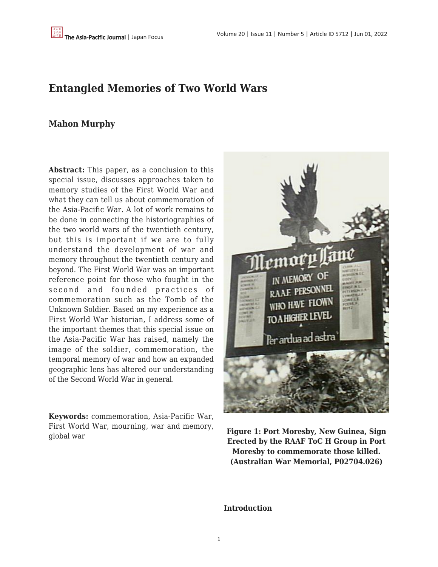## **Entangled Memories of Two World Wars**

### **Mahon Murphy**

**Abstract:** This paper, as a conclusion to this special issue, discusses approaches taken to memory studies of the First World War and what they can tell us about commemoration of the Asia-Pacific War. A lot of work remains to be done in connecting the historiographies of the two world wars of the twentieth century, but this is important if we are to fully understand the development of war and memory throughout the twentieth century and beyond. The First World War was an important reference point for those who fought in the second and founded practices of commemoration such as the Tomb of the Unknown Soldier. Based on my experience as a First World War historian, I address some of the important themes that this special issue on the Asia-Pacific War has raised, namely the image of the soldier, commemoration, the temporal memory of war and how an expanded geographic lens has altered our understanding of the Second World War in general.

**Keywords:** commemoration, Asia-Pacific War, First World War, mourning, war and memory, global war **Figure 1: Port Moresby, New Guinea, Sign**



**Erected by the RAAF ToC H Group in Port Moresby to commemorate those killed. (Australian War Memorial, P02704.026)**

#### **Introduction**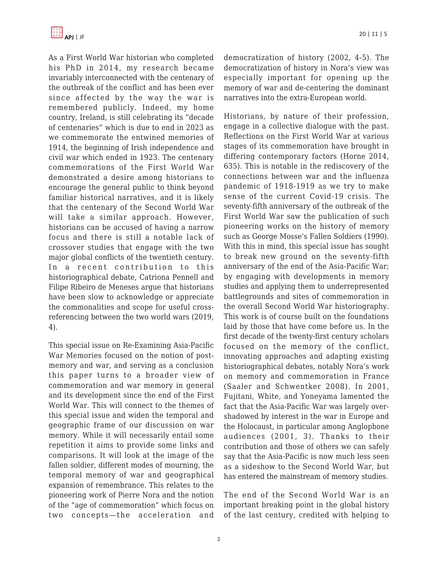As a First World War historian who completed his PhD in 2014, my research became invariably interconnected with the centenary of the outbreak of the conflict and has been ever since affected by the way the war is remembered publicly. Indeed, my home country, Ireland, is still celebrating its "decade of centenaries" which is due to end in 2023 as we commemorate the entwined memories of 1914, the beginning of Irish independence and civil war which ended in 1923. The centenary commemorations of the First World War demonstrated a desire among historians to encourage the general public to think beyond familiar historical narratives, and it is likely that the centenary of the Second World War will take a similar approach. However, historians can be accused of having a narrow focus and there is still a notable lack of crossover studies that engage with the two major global conflicts of the twentieth century. In a recent contribution to this historiographical debate, Catriona Pennell and Filipe Ribeiro de Meneses argue that historians have been slow to acknowledge or appreciate the commonalities and scope for useful crossreferencing between the two world wars (2019, 4).

This special issue on Re-Examining Asia-Pacific War Memories focused on the notion of postmemory and war, and serving as a conclusion this paper turns to a broader view of commemoration and war memory in general and its development since the end of the First World War. This will connect to the themes of this special issue and widen the temporal and geographic frame of our discussion on war memory. While it will necessarily entail some repetition it aims to provide some links and comparisons. It will look at the image of the fallen soldier, different modes of mourning, the temporal memory of war and geographical expansion of remembrance. This relates to the pioneering work of Pierre Nora and the notion of the "age of commemoration" which focus on two concepts—the acceleration and democratization of history (2002, 4-5). The democratization of history in Nora's view was especially important for opening up the memory of war and de-centering the dominant narratives into the extra-European world.

Historians, by nature of their profession, engage in a collective dialogue with the past. Reflections on the First World War at various stages of its commemoration have brought in differing contemporary factors (Horne 2014, 635). This is notable in the rediscovery of the connections between war and the influenza pandemic of 1918-1919 as we try to make sense of the current Covid-19 crisis. The seventy-fifth anniversary of the outbreak of the First World War saw the publication of such pioneering works on the history of memory such as George Mosse's Fallen Soldiers (1990). With this in mind, this special issue has sought to break new ground on the seventy-fifth anniversary of the end of the Asia-Pacific War; by engaging with developments in memory studies and applying them to underrepresented battlegrounds and sites of commemoration in the overall Second World War historiography. This work is of course built on the foundations laid by those that have come before us. In the first decade of the twenty-first century scholars focused on the memory of the conflict, innovating approaches and adapting existing historiographical debates, notably Nora's work on memory and commemoration in France (Saaler and Schwentker 2008). In 2001, Fujitani, White, and Yoneyama lamented the fact that the Asia-Pacific War was largely overshadowed by interest in the war in Europe and the Holocaust, in particular among Anglophone audiences (2001, 3). Thanks to their contribution and those of others we can safely say that the Asia-Pacific is now much less seen as a sideshow to the Second World War, but has entered the mainstream of memory studies.

The end of the Second World War is an important breaking point in the global history of the last century, credited with helping to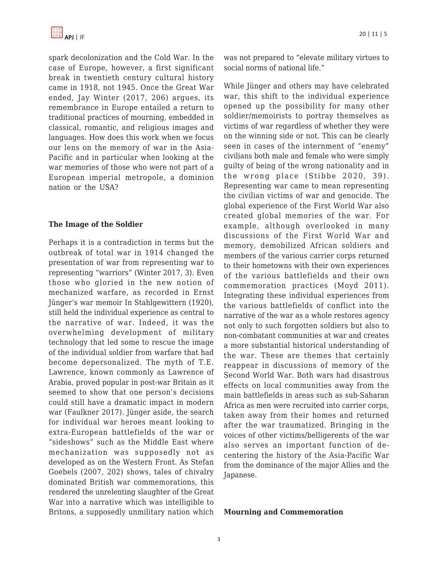

spark decolonization and the Cold War. In the case of Europe, however, a first significant break in twentieth century cultural history came in 1918, not 1945. Once the Great War ended, Jay Winter (2017, 206) argues, its remembrance in Europe entailed a return to traditional practices of mourning, embedded in classical, romantic, and religious images and languages. How does this work when we focus our lens on the memory of war in the Asia-Pacific and in particular when looking at the war memories of those who were not part of a European imperial metropole, a dominion nation or the USA?

#### **The Image of the Soldier**

Perhaps it is a contradiction in terms but the outbreak of total war in 1914 changed the presentation of war from representing war to representing "warriors" (Winter 2017, 3). Even those who gloried in the new notion of mechanized warfare, as recorded in Ernst Jünger's war memoir In Stahlgewittern (1920), still held the individual experience as central to the narrative of war. Indeed, it was the overwhelming development of military technology that led some to rescue the image of the individual soldier from warfare that had become depersonalized. The myth of T.E. Lawrence, known commonly as Lawrence of Arabia, proved popular in post-war Britain as it seemed to show that one person's decisions could still have a dramatic impact in modern war (Faulkner 2017). Jünger aside, the search for individual war heroes meant looking to extra-European battlefields of the war or "sideshows" such as the Middle East where mechanization was supposedly not as developed as on the Western Front. As Stefan Goebels (2007, 202) shows, tales of chivalry dominated British war commemorations, this rendered the unrelenting slaughter of the Great War into a narrative which was intelligible to Britons, a supposedly unmilitary nation which was not prepared to "elevate military virtues to social norms of national life."

While Jünger and others may have celebrated war, this shift to the individual experience opened up the possibility for many other soldier/memoirists to portray themselves as victims of war regardless of whether they were on the winning side or not. This can be clearly seen in cases of the internment of "enemy" civilians both male and female who were simply guilty of being of the wrong nationality and in the wrong place (Stibbe 2020, 39). Representing war came to mean representing the civilian victims of war and genocide. The global experience of the First World War also created global memories of the war. For example, although overlooked in many discussions of the First World War and memory, demobilized African soldiers and members of the various carrier corps returned to their hometowns with their own experiences of the various battlefields and their own commemoration practices (Moyd 2011). Integrating these individual experiences from the various battlefields of conflict into the narrative of the war as a whole restores agency not only to such forgotten soldiers but also to non-combatant communities at war and creates a more substantial historical understanding of the war. These are themes that certainly reappear in discussions of memory of the Second World War. Both wars had disastrous effects on local communities away from the main battlefields in areas such as sub-Saharan Africa as men were recruited into carrier corps, taken away from their homes and returned after the war traumatized. Bringing in the voices of other victims/belligerents of the war also serves an important function of decentering the history of the Asia-Pacific War from the dominance of the major Allies and the Japanese.

#### **Mourning and Commemoration**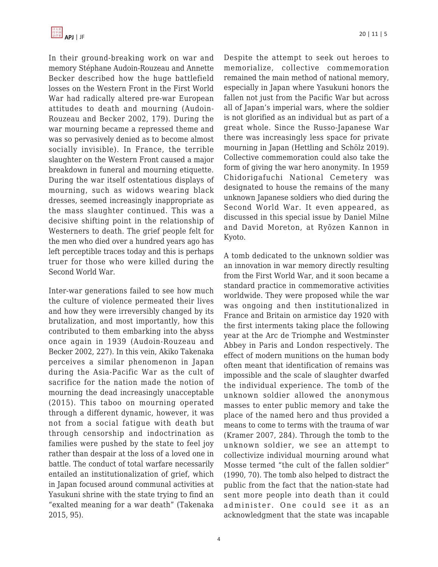In their ground-breaking work on war and memory Stéphane Audoin-Rouzeau and Annette Becker described how the huge battlefield losses on the Western Front in the First World War had radically altered pre-war European attitudes to death and mourning (Audoin-Rouzeau and Becker 2002, 179). During the war mourning became a repressed theme and was so pervasively denied as to become almost socially invisible). In France, the terrible slaughter on the Western Front caused a major breakdown in funeral and mourning etiquette. During the war itself ostentatious displays of mourning, such as widows wearing black dresses, seemed increasingly inappropriate as the mass slaughter continued. This was a decisive shifting point in the relationship of Westerners to death. The grief people felt for the men who died over a hundred years ago has left perceptible traces today and this is perhaps truer for those who were killed during the Second World War.

Inter-war generations failed to see how much the culture of violence permeated their lives and how they were irreversibly changed by its brutalization, and most importantly, how this contributed to them embarking into the abyss once again in 1939 (Audoin-Rouzeau and Becker 2002, 227). In this vein, Akiko Takenaka perceives a similar phenomenon in Japan during the Asia-Pacific War as the cult of sacrifice for the nation made the notion of mourning the dead increasingly unacceptable (2015). This taboo on mourning operated through a different dynamic, however, it was not from a social fatigue with death but through censorship and indoctrination as families were pushed by the state to feel joy rather than despair at the loss of a loved one in battle. The conduct of total warfare necessarily entailed an institutionalization of grief, which in Japan focused around communal activities at Yasukuni shrine with the state trying to find an "exalted meaning for a war death" (Takenaka 2015, 95).

Despite the attempt to seek out heroes to memorialize, collective commemoration remained the main method of national memory, especially in Japan where Yasukuni honors the fallen not just from the Pacific War but across all of Japan's imperial wars, where the soldier is not glorified as an individual but as part of a great whole. Since the Russo-Japanese War there was increasingly less space for private mourning in Japan (Hettling and Schölz 2019). Collective commemoration could also take the form of giving the war hero anonymity. In 1959 Chidorigafuchi National Cemetery was designated to house the remains of the many unknown Japanese soldiers who died during the Second World War. It even appeared, as discussed in this special issue by Daniel Milne and David Moreton, at Ryōzen Kannon in Kyoto.

A tomb dedicated to the unknown soldier was an innovation in war memory directly resulting from the First World War, and it soon became a standard practice in commemorative activities worldwide. They were proposed while the war was ongoing and then institutionalized in France and Britain on armistice day 1920 with the first interments taking place the following year at the Arc de Triomphe and Westminster Abbey in Paris and London respectively. The effect of modern munitions on the human body often meant that identification of remains was impossible and the scale of slaughter dwarfed the individual experience. The tomb of the unknown soldier allowed the anonymous masses to enter public memory and take the place of the named hero and thus provided a means to come to terms with the trauma of war (Kramer 2007, 284). Through the tomb to the unknown soldier, we see an attempt to collectivize individual mourning around what Mosse termed "the cult of the fallen soldier" (1990, 70). The tomb also helped to distract the public from the fact that the nation-state had sent more people into death than it could administer. One could see it as an acknowledgment that the state was incapable

4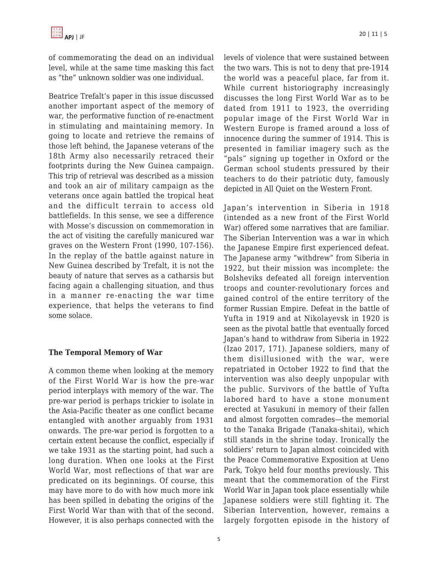of commemorating the dead on an individual level, while at the same time masking this fact as "the" unknown soldier was one individual.

Beatrice Trefalt's paper in this issue discussed another important aspect of the memory of war, the performative function of re-enactment in stimulating and maintaining memory. In going to locate and retrieve the remains of those left behind, the Japanese veterans of the 18th Army also necessarily retraced their footprints during the New Guinea campaign. This trip of retrieval was described as a mission and took an air of military campaign as the veterans once again battled the tropical heat and the difficult terrain to access old battlefields. In this sense, we see a difference with Mosse's discussion on commemoration in the act of visiting the carefully manicured war graves on the Western Front (1990, 107-156). In the replay of the battle against nature in New Guinea described by Trefalt, it is not the beauty of nature that serves as a catharsis but facing again a challenging situation, and thus in a manner re-enacting the war time experience, that helps the veterans to find some solace.

#### **The Temporal Memory of War**

A common theme when looking at the memory of the First World War is how the pre-war period interplays with memory of the war. The pre-war period is perhaps trickier to isolate in the Asia-Pacific theater as one conflict became entangled with another arguably from 1931 onwards. The pre-war period is forgotten to a certain extent because the conflict, especially if we take 1931 as the starting point, had such a long duration. When one looks at the First World War, most reflections of that war are predicated on its beginnings. Of course, this may have more to do with how much more ink has been spilled in debating the origins of the First World War than with that of the second. However, it is also perhaps connected with the levels of violence that were sustained between the two wars. This is not to deny that pre-1914 the world was a peaceful place, far from it. While current historiography increasingly discusses the long First World War as to be dated from 1911 to 1923, the overriding popular image of the First World War in Western Europe is framed around a loss of innocence during the summer of 1914. This is presented in familiar imagery such as the "pals" signing up together in Oxford or the German school students pressured by their teachers to do their patriotic duty, famously depicted in All Quiet on the Western Front.

Japan's intervention in Siberia in 1918 (intended as a new front of the First World War) offered some narratives that are familiar. The Siberian Intervention was a war in which the Japanese Empire first experienced defeat. The Japanese army "withdrew" from Siberia in 1922, but their mission was incomplete: the Bolsheviks defeated all foreign intervention troops and counter-revolutionary forces and gained control of the entire territory of the former Russian Empire. Defeat in the battle of Yufta in 1919 and at Nikolayevsk in 1920 is seen as the pivotal battle that eventually forced Japan's hand to withdraw from Siberia in 1922 (Izao 2017, 171). Japanese soldiers, many of them disillusioned with the war, were repatriated in October 1922 to find that the intervention was also deeply unpopular with the public. Survivors of the battle of Yufta labored hard to have a stone monument erected at Yasukuni in memory of their fallen and almost forgotten comrades—the memorial to the Tanaka Brigade (Tanaka-shitai), which still stands in the shrine today. Ironically the soldiers' return to Japan almost coincided with the Peace Commemorative Exposition at Ueno Park, Tokyo held four months previously. This meant that the commemoration of the First World War in Japan took place essentially while Japanese soldiers were still fighting it. The Siberian Intervention, however, remains a largely forgotten episode in the history of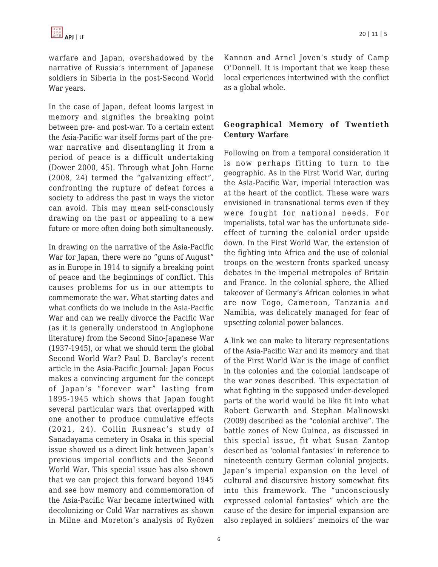warfare and Japan, overshadowed by the narrative of Russia's internment of Japanese soldiers in Siberia in the post-Second World War years.

In the case of Japan, defeat looms largest in memory and signifies the breaking point between pre- and post-war. To a certain extent the Asia-Pacific war itself forms part of the prewar narrative and disentangling it from a period of peace is a difficult undertaking (Dower 2000, 45). Through what John Horne (2008, 24) termed the "galvanizing effect", confronting the rupture of defeat forces a society to address the past in ways the victor can avoid. This may mean self-consciously drawing on the past or appealing to a new future or more often doing both simultaneously.

In drawing on the narrative of the Asia-Pacific War for Japan, there were no "guns of August" as in Europe in 1914 to signify a breaking point of peace and the beginnings of conflict. This causes problems for us in our attempts to commemorate the war. What starting dates and what conflicts do we include in the Asia-Pacific War and can we really divorce the Pacific War (as it is generally understood in Anglophone literature) from the Second Sino-Japanese War (1937-1945), or what we should term the global Second World War? Paul D. Barclay's recent article in the Asia-Pacific Journal: Japan Focus makes a convincing argument for the concept of Japan's "forever war" lasting from 1895-1945 which shows that Japan fought several particular wars that overlapped with one another to produce cumulative effects (2021, 24). Collin Rusneac's study of Sanadayama cemetery in Osaka in this special issue showed us a direct link between Japan's previous imperial conflicts and the Second World War. This special issue has also shown that we can project this forward beyond 1945 and see how memory and commemoration of the Asia-Pacific War became intertwined with decolonizing or Cold War narratives as shown in Milne and Moreton's analysis of Ryōzen Kannon and Arnel Joven's study of Camp O'Donnell. It is important that we keep these local experiences intertwined with the conflict as a global whole.

#### **Geographical Memory of Twentieth Century Warfare**

Following on from a temporal consideration it is now perhaps fitting to turn to the geographic. As in the First World War, during the Asia-Pacific War, imperial interaction was at the heart of the conflict. These were wars envisioned in transnational terms even if they were fought for national needs. For imperialists, total war has the unfortunate sideeffect of turning the colonial order upside down. In the First World War, the extension of the fighting into Africa and the use of colonial troops on the western fronts sparked uneasy debates in the imperial metropoles of Britain and France. In the colonial sphere, the Allied takeover of Germany's African colonies in what are now Togo, Cameroon, Tanzania and Namibia, was delicately managed for fear of upsetting colonial power balances.

A link we can make to literary representations of the Asia-Pacific War and its memory and that of the First World War is the image of conflict in the colonies and the colonial landscape of the war zones described. This expectation of what fighting in the supposed under-developed parts of the world would be like fit into what Robert Gerwarth and Stephan Malinowski (2009) described as the "colonial archive". The battle zones of New Guinea, as discussed in this special issue, fit what Susan Zantop described as 'colonial fantasies' in reference to nineteenth century German colonial projects. Japan's imperial expansion on the level of cultural and discursive history somewhat fits into this framework. The "unconsciously expressed colonial fantasies" which are the cause of the desire for imperial expansion are also replayed in soldiers' memoirs of the war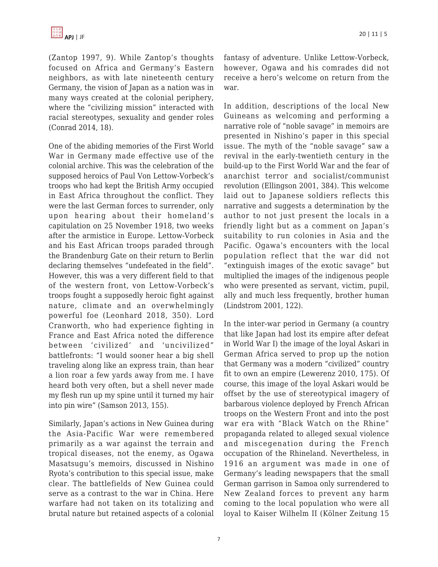

(Zantop 1997, 9). While Zantop's thoughts focused on Africa and Germany's Eastern neighbors, as with late nineteenth century Germany, the vision of Japan as a nation was in many ways created at the colonial periphery, where the "civilizing mission" interacted with racial stereotypes, sexuality and gender roles (Conrad 2014, 18).

One of the abiding memories of the First World War in Germany made effective use of the colonial archive. This was the celebration of the supposed heroics of Paul Von Lettow-Vorbeck's troops who had kept the British Army occupied in East Africa throughout the conflict. They were the last German forces to surrender, only upon hearing about their homeland's capitulation on 25 November 1918, two weeks after the armistice in Europe. Lettow-Vorbeck and his East African troops paraded through the Brandenburg Gate on their return to Berlin declaring themselves "undefeated in the field". However, this was a very different field to that of the western front, von Lettow-Vorbeck's troops fought a supposedly heroic fight against nature, climate and an overwhelmingly powerful foe (Leonhard 2018, 350). Lord Cranworth, who had experience fighting in France and East Africa noted the difference between 'civilized' and 'uncivilized" battlefronts: "I would sooner hear a big shell traveling along like an express train, than hear a lion roar a few yards away from me. I have heard both very often, but a shell never made my flesh run up my spine until it turned my hair into pin wire" (Samson 2013, 155).

Similarly, Japan's actions in New Guinea during the Asia-Pacific War were remembered primarily as a war against the terrain and tropical diseases, not the enemy, as Ogawa Masatsugu's memoirs, discussed in Nishino Ryota's contribution to this special issue, make clear. The battlefields of New Guinea could serve as a contrast to the war in China. Here warfare had not taken on its totalizing and brutal nature but retained aspects of a colonial fantasy of adventure. Unlike Lettow-Vorbeck, however, Ogawa and his comrades did not receive a hero's welcome on return from the war.

In addition, descriptions of the local New Guineans as welcoming and performing a narrative role of "noble savage" in memoirs are presented in Nishino's paper in this special issue. The myth of the "noble savage" saw a revival in the early-twentieth century in the build-up to the First World War and the fear of anarchist terror and socialist/communist revolution (Ellingson 2001, 384). This welcome laid out to Japanese soldiers reflects this narrative and suggests a determination by the author to not just present the locals in a friendly light but as a comment on Japan's suitability to run colonies in Asia and the Pacific. Ogawa's encounters with the local population reflect that the war did not "extinguish images of the exotic savage" but multiplied the images of the indigenous people who were presented as servant, victim, pupil, ally and much less frequently, brother human (Lindstrom 2001, 122).

In the inter-war period in Germany (a country that like Japan had lost its empire after defeat in World War I) the image of the loyal Askari in German Africa served to prop up the notion that Germany was a modern "civilized" country fit to own an empire (Lewerenz 2010, 175). Of course, this image of the loyal Askari would be offset by the use of stereotypical imagery of barbarous violence deployed by French African troops on the Western Front and into the post war era with "Black Watch on the Rhine" propaganda related to alleged sexual violence and miscegenation during the French occupation of the Rhineland. Nevertheless, in 1916 an argument was made in one of Germany's leading newspapers that the small German garrison in Samoa only surrendered to New Zealand forces to prevent any harm coming to the local population who were all loyal to Kaiser Wilhelm II (Kölner Zeitung 15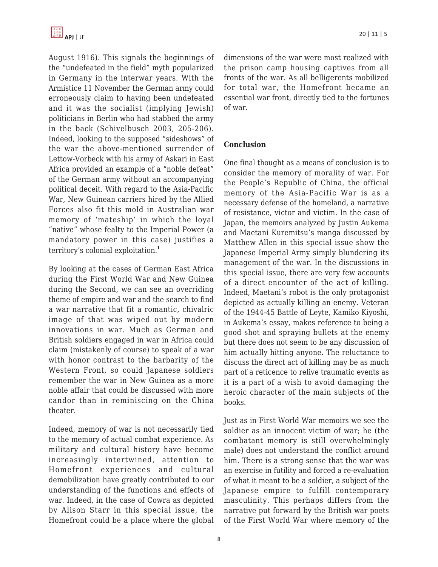August 1916). This signals the beginnings of the "undefeated in the field" myth popularized in Germany in the interwar years. With the Armistice 11 November the German army could erroneously claim to having been undefeated and it was the socialist (implying Jewish) politicians in Berlin who had stabbed the army in the back (Schivelbusch 2003, 205-206). Indeed, looking to the supposed "sideshows" of the war the above-mentioned surrender of Lettow-Vorbeck with his army of Askari in East Africa provided an example of a "noble defeat" of the German army without an accompanying political deceit. With regard to the Asia-Pacific War, New Guinean carriers hired by the Allied Forces also fit this mold in Australian war memory of 'mateship' in which the loyal "native" whose fealty to the Imperial Power (a mandatory power in this case) justifies a territory's colonial exploitation.**<sup>1</sup>**

By looking at the cases of German East Africa during the First World War and New Guinea during the Second, we can see an overriding theme of empire and war and the search to find a war narrative that fit a romantic, chivalric image of that was wiped out by modern innovations in war. Much as German and British soldiers engaged in war in Africa could claim (mistakenly of course) to speak of a war with honor contrast to the barbarity of the Western Front, so could Japanese soldiers remember the war in New Guinea as a more noble affair that could be discussed with more candor than in reminiscing on the China theater.

Indeed, memory of war is not necessarily tied to the memory of actual combat experience. As military and cultural history have become increasingly intertwined, attention to Homefront experiences and cultural demobilization have greatly contributed to our understanding of the functions and effects of war. Indeed, in the case of Cowra as depicted by Alison Starr in this special issue, the Homefront could be a place where the global dimensions of the war were most realized with the prison camp housing captives from all fronts of the war. As all belligerents mobilized for total war, the Homefront became an essential war front, directly tied to the fortunes of war.

#### **Conclusion**

One final thought as a means of conclusion is to consider the memory of morality of war. For the People's Republic of China, the official memory of the Asia-Pacific War is as a necessary defense of the homeland, a narrative of resistance, victor and victim. In the case of Japan, the memoirs analyzed by Justin Aukema and Maetani Kuremitsu's manga discussed by Matthew Allen in this special issue show the Japanese Imperial Army simply blundering its management of the war. In the discussions in this special issue, there are very few accounts of a direct encounter of the act of killing. Indeed, Maetani's robot is the only protagonist depicted as actually killing an enemy. Veteran of the 1944-45 Battle of Leyte, Kamiko Kiyoshi, in Aukema's essay, makes reference to being a good shot and spraying bullets at the enemy but there does not seem to be any discussion of him actually hitting anyone. The reluctance to discuss the direct act of killing may be as much part of a reticence to relive traumatic events as it is a part of a wish to avoid damaging the heroic character of the main subjects of the books.

Just as in First World War memoirs we see the soldier as an innocent victim of war; he (the combatant memory is still overwhelmingly male) does not understand the conflict around him. There is a strong sense that the war was an exercise in futility and forced a re-evaluation of what it meant to be a soldier, a subject of the Japanese empire to fulfill contemporary masculinity. This perhaps differs from the narrative put forward by the British war poets of the First World War where memory of the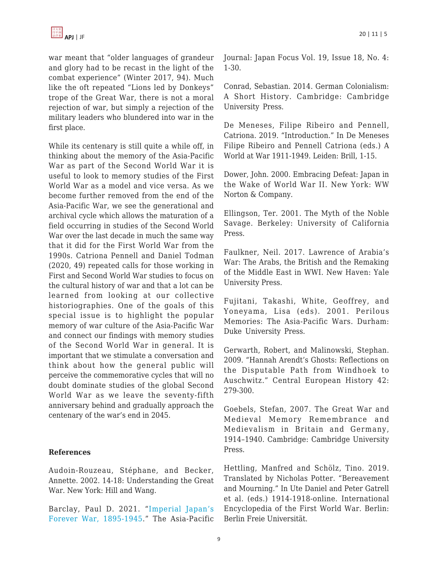war meant that "older languages of grandeur and glory had to be recast in the light of the combat experience" (Winter 2017, 94). Much like the oft repeated "Lions led by Donkeys" trope of the Great War, there is not a moral rejection of war, but simply a rejection of the military leaders who blundered into war in the first place.

While its centenary is still quite a while off, in thinking about the memory of the Asia-Pacific War as part of the Second World War it is useful to look to memory studies of the First World War as a model and vice versa. As we become further removed from the end of the Asia-Pacific War, we see the generational and archival cycle which allows the maturation of a field occurring in studies of the Second World War over the last decade in much the same way that it did for the First World War from the 1990s. Catriona Pennell and Daniel Todman (2020, 49) repeated calls for those working in First and Second World War studies to focus on the cultural history of war and that a lot can be learned from looking at our collective historiographies. One of the goals of this special issue is to highlight the popular memory of war culture of the Asia-Pacific War and connect our findings with memory studies of the Second World War in general. It is important that we stimulate a conversation and think about how the general public will perceive the commemorative cycles that will no doubt dominate studies of the global Second World War as we leave the seventy-fifth anniversary behind and gradually approach the centenary of the war's end in 2045.

#### **References**

Audoin-Rouzeau, Stéphane, and Becker, Annette. 2002. 14-18: Understanding the Great War. New York: Hill and Wang.

Barclay, Paul D. 2021. "[Imperial Japan's](https://apjjf.org/2021/18/Barclay.html) [Forever War, 1895-1945.](https://apjjf.org/2021/18/Barclay.html)" The Asia-Pacific Journal: Japan Focus Vol. 19, Issue 18, No. 4: 1-30.

Conrad, Sebastian. 2014. German Colonialism: A Short History. Cambridge: Cambridge University Press.

De Meneses, Filipe Ribeiro and Pennell, Catriona. 2019. "Introduction." In De Meneses Filipe Ribeiro and Pennell Catriona (eds.) A World at War 1911-1949. Leiden: Brill, 1-15.

Dower, John. 2000. Embracing Defeat: Japan in the Wake of World War II. New York: WW Norton & Company.

Ellingson, Ter. 2001. The Myth of the Noble Savage. Berkeley: University of California Press.

Faulkner, Neil. 2017. Lawrence of Arabia's War: The Arabs, the British and the Remaking of the Middle East in WWI. New Haven: Yale University Press.

Fujitani, Takashi, White, Geoffrey, and Yoneyama, Lisa (eds). 2001. Perilous Memories: The Asia-Pacific Wars. Durham: Duke University Press.

Gerwarth, Robert, and Malinowski, Stephan. 2009. "Hannah Arendt's Ghosts: Reflections on the Disputable Path from Windhoek to Auschwitz." Central European History 42: 279-300.

Goebels, Stefan, 2007. The Great War and Medieval Memory Remembrance and Medievalism in Britain and Germany, 1914–1940. Cambridge: Cambridge University Press.

Hettling, Manfred and Schölz, Tino. 2019. Translated by Nicholas Potter. "Bereavement and Mourning." In Ute Daniel and Peter Gatrell et al. (eds.) 1914-1918-online. International Encyclopedia of the First World War. Berlin: Berlin Freie Universität.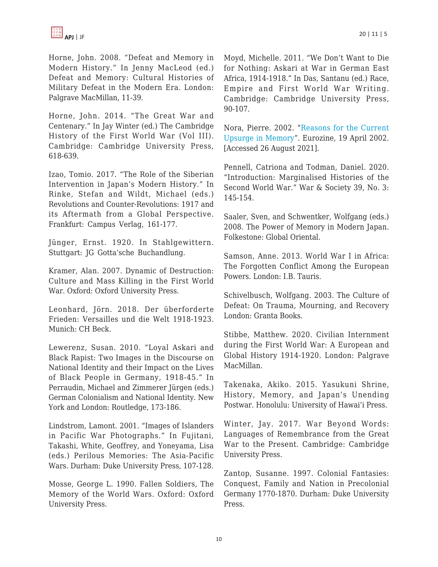

Horne, John. 2008. "Defeat and Memory in Modern History." In Jenny MacLeod (ed.) Defeat and Memory: Cultural Histories of Military Defeat in the Modern Era. London: Palgrave MacMillan, 11-39.

Horne, John. 2014. "The Great War and Centenary." In Jay Winter (ed.) The Cambridge History of the First World War (Vol III). Cambridge: Cambridge University Press, 618-639.

Izao, Tomio. 2017. "The Role of the Siberian Intervention in Japan's Modern History." In Rinke, Stefan and Wildt, Michael (eds.) Revolutions and Counter-Revolutions: 1917 and its Aftermath from a Global Perspective. Frankfurt: Campus Verlag, 161-177.

Jünger, Ernst. 1920. In Stahlgewittern. Stuttgart: JG Gotta'sche Buchandlung.

Kramer, Alan. 2007. Dynamic of Destruction: Culture and Mass Killing in the First World War. Oxford: Oxford University Press.

Leonhard, Jörn. 2018. Der überforderte Frieden: Versailles und die Welt 1918-1923. Munich: CH Beck.

Lewerenz, Susan. 2010. "Loyal Askari and Black Rapist: Two Images in the Discourse on National Identity and their Impact on the Lives of Black People in Germany, 1918-45." In Perraudin, Michael and Zimmerer Jürgen (eds.) German Colonialism and National Identity. New York and London: Routledge, 173-186.

Lindstrom, Lamont. 2001. "Images of Islanders in Pacific War Photographs." In Fujitani, Takashi, White, Geoffrey, and Yoneyama, Lisa (eds.) Perilous Memories: The Asia-Pacific Wars. Durham: Duke University Press, 107-128.

Mosse, George L. 1990. Fallen Soldiers, The Memory of the World Wars. Oxford: Oxford University Press.

Moyd, Michelle. 2011. "We Don't Want to Die for Nothing: Askari at War in German East Africa, 1914-1918." In Das, Santanu (ed.) Race, Empire and First World War Writing. Cambridge: Cambridge University Press, 90-107.

Nora, Pierre. 2002. "[Reasons for the Current](https://www.eurozine.com/reasons-for-the-currentupsurge-in-memory/) [Upsurge in Memory"](https://www.eurozine.com/reasons-for-the-currentupsurge-in-memory/). Eurozine, 19 April 2002. [Accessed 26 August 2021].

Pennell, Catriona and Todman, Daniel. 2020. "Introduction: Marginalised Histories of the Second World War." War & Society 39, No. 3: 145-154.

Saaler, Sven, and Schwentker, Wolfgang (eds.) 2008. The Power of Memory in Modern Japan. Folkestone: Global Oriental.

Samson, Anne. 2013. World War I in Africa: The Forgotten Conflict Among the European Powers. London: I.B. Tauris.

Schivelbusch, Wolfgang. 2003. The Culture of Defeat: On Trauma, Mourning, and Recovery London: Granta Books.

Stibbe, Matthew. 2020. Civilian Internment during the First World War: A European and Global History 1914-1920. London: Palgrave MacMillan.

Takenaka, Akiko. 2015. Yasukuni Shrine, History, Memory, and Japan's Unending Postwar. Honolulu: University of Hawai'i Press.

Winter, Jay. 2017. War Beyond Words: Languages of Remembrance from the Great War to the Present. Cambridge: Cambridge University Press.

Zantop, Susanne. 1997. Colonial Fantasies: Conquest, Family and Nation in Precolonial Germany 1770-1870. Durham: Duke University Press.